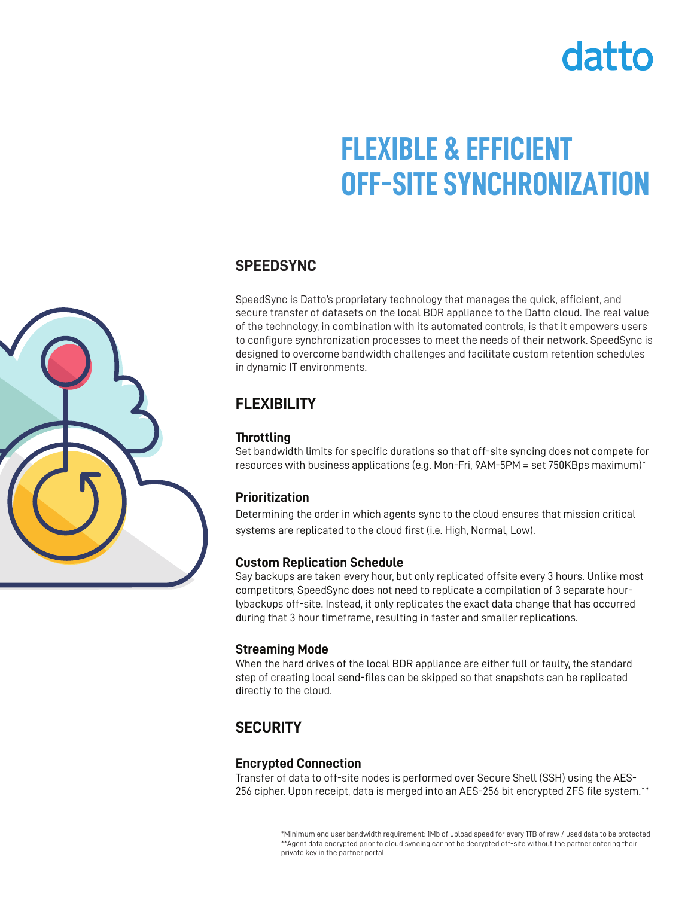# datto

# **FLEXIBLE & EFFICIENT OFF-SITE SYNCHRONIZATION**

#### **SPEEDSYNC**

SpeedSync is Datto's proprietary technology that manages the quick, efficient, and secure transfer of datasets on the local BDR appliance to the Datto cloud. The real value of the technology, in combination with its automated controls, is that it empowers users to configure synchronization processes to meet the needs of their network. SpeedSync is designed to overcome bandwidth challenges and facilitate custom retention schedules in dynamic IT environments.

### **FLEXIBILITY**

#### **Throttling**

Set bandwidth limits for specific durations so that off-site syncing does not compete for resources with business applications (e.g. Mon-Fri, 9AM-5PM = set 750KBps maximum)\*

#### **Prioritization**

Determining the order in which agents sync to the cloud ensures that mission critical systems are replicated to the cloud first (i.e. High, Normal, Low).

#### **Custom Replication Schedule**

Say backups are taken every hour, but only replicated offsite every 3 hours. Unlike most competitors, SpeedSync does not need to replicate a compilation of 3 separate hourlybackups off-site. Instead, it only replicates the exact data change that has occurred during that 3 hour timeframe, resulting in faster and smaller replications.

#### **Streaming Mode**

When the hard drives of the local BDR appliance are either full or faulty, the standard step of creating local send-files can be skipped so that snapshots can be replicated directly to the cloud.

# **SECURITY**

#### **Encrypted Connection**

Transfer of data to off-site nodes is performed over Secure Shell (SSH) using the AES-256 cipher. Upon receipt, data is merged into an AES-256 bit encrypted ZFS file system.\*\*

> \*Minimum end user bandwidth requirement: 1Mb of upload speed for every 1TB of raw / used data to be protected \*\*Agent data encrypted prior to cloud syncing cannot be decrypted off-site without the partner entering their private key in the partner portal